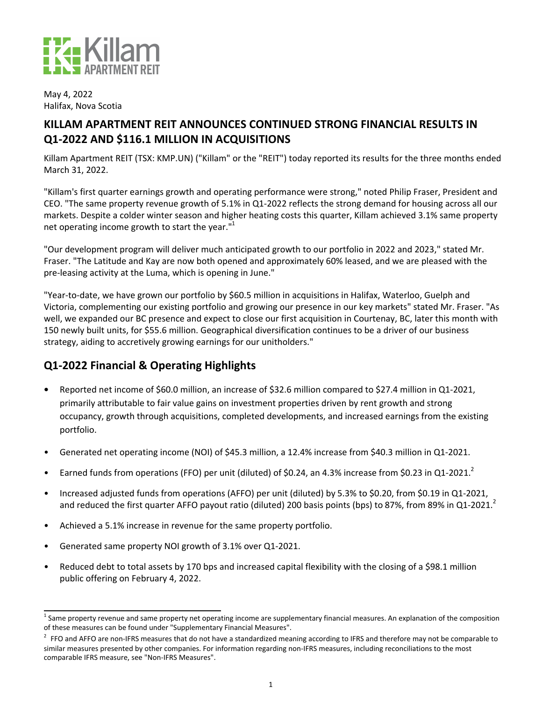

May 4, 2022 Halifax, Nova Scotia

# **KILLAM APARTMENT REIT ANNOUNCES CONTINUED STRONG FINANCIAL RESULTS IN Q1-2022 AND \$116.1 MILLION IN ACQUISITIONS**

Killam Apartment REIT (TSX: KMP.UN) ("Killam" or the "REIT") today reported its results for the three months ended March 31, 2022.

"Killam's first quarter earnings growth and operating performance were strong," noted Philip Fraser, President and CEO. "The same property revenue growth of 5.1% in Q1-2022 reflects the strong demand for housing across all our markets. Despite a colder winter season and higher heating costs this quarter, Killam achieved 3.1% same property net operating income growth to start the year."<sup>1</sup>

"Our development program will deliver much anticipated growth to our portfolio in 2022 and 2023," stated Mr. Fraser. "The Latitude and Kay are now both opened and approximately 60% leased, and we are pleased with the pre-leasing activity at the Luma, which is opening in June."

"Year-to-date, we have grown our portfolio by \$60.5 million in acquisitions in Halifax, Waterloo, Guelph and Victoria, complementing our existing portfolio and growing our presence in our key markets" stated Mr. Fraser. "As well, we expanded our BC presence and expect to close our first acquisition in Courtenay, BC, later this month with 150 newly built units, for \$55.6 million. Geographical diversification continues to be a driver of our business strategy, aiding to accretively growing earnings for our unitholders."

# **Q1-2022 Financial & Operating Highlights**

- **Reported net income of \$60.0 million, an increase of \$32.6 million compared to \$27.4 million in Q1-2021,** primarily attributable to fair value gains on investment properties driven by rent growth and strong occupancy, growth through acquisitions, completed developments, and increased earnings from the existing portfolio.
- Generated net operating income (NOI) of \$45.3 million, a 12.4% increase from \$40.3 million in Q1-2021.
- Earned funds from operations (FFO) per unit (diluted) of \$0.24, an 4.3% increase from \$0.23 in Q1-2021.<sup>2</sup>
- Increased adjusted funds from operations (AFFO) per unit (diluted) by 5.3% to \$0.20, from \$0.19 in Q1-2021, and reduced the first quarter AFFO payout ratio (diluted) 200 basis points (bps) to 87%, from 89% in Q1-2021.<sup>2</sup>
- Achieved a 5.1% increase in revenue for the same property portfolio.
- Generated same property NOI growth of 3.1% over Q1-2021.
- Reduced debt to total assets by 170 bps and increased capital flexibility with the closing of a \$98.1 million public offering on February 4, 2022.

 $^1$  Same property revenue and same property net operating income are supplementary financial measures. An explanation of the composition of these measures can be found under "Supplementary Financial Measures".

 $^2$  FFO and AFFO are non-IFRS measures that do not have a standardized meaning according to IFRS and therefore may not be comparable to similar measures presented by other companies. For information regarding non-IFRS measures, including reconciliations to the most comparable IFRS measure, see "Non-IFRS Measures".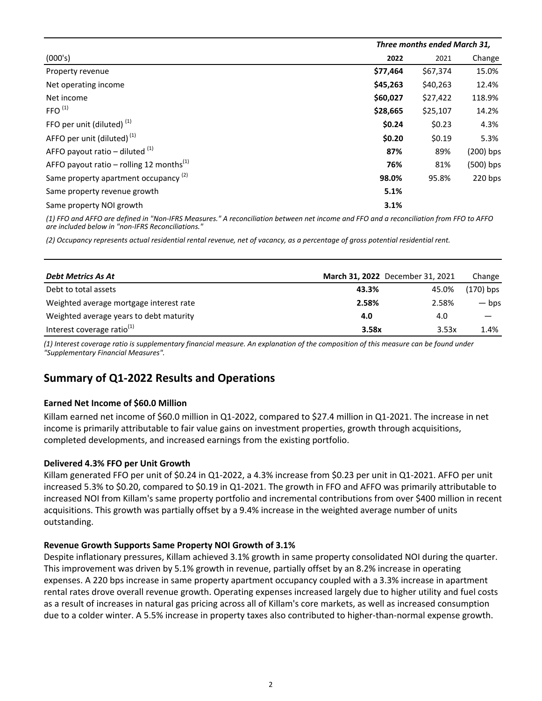|                                                      |          | Three months ended March 31, |             |  |
|------------------------------------------------------|----------|------------------------------|-------------|--|
| (000's)                                              | 2022     | 2021                         | Change      |  |
| Property revenue                                     | \$77,464 | \$67,374                     | 15.0%       |  |
| Net operating income                                 | \$45,263 | \$40,263                     | 12.4%       |  |
| Net income                                           | \$60,027 | \$27,422                     | 118.9%      |  |
| FFO <sup>(1)</sup>                                   | \$28,665 | \$25,107                     | 14.2%       |  |
| FFO per unit (diluted) $(1)$                         | \$0.24   | \$0.23                       | 4.3%        |  |
| AFFO per unit (diluted) <sup>(1)</sup>               | \$0.20   | \$0.19                       | 5.3%        |  |
| AFFO payout ratio – diluted $(1)$                    | 87%      | 89%                          | $(200)$ bps |  |
| AFFO payout ratio – rolling 12 months <sup>(1)</sup> | 76%      | 81%                          | $(500)$ bps |  |
| Same property apartment occupancy <sup>(2)</sup>     | 98.0%    | 95.8%                        | 220 bps     |  |
| Same property revenue growth                         | 5.1%     |                              |             |  |
| Same property NOI growth                             | 3.1%     |                              |             |  |

(1) FFO and AFFO are defined in "Non-IFRS Measures." A reconciliation between net income and FFO and a reconciliation from FFO to AFFO are included below in "non-IFRS Reconciliations."

*(2) Occupancy represents actual residential rental revenue, net of vacancy, as a percentage of gross potential residential rent.*

| Debt Metrics As At                      | March 31, 2022 December 31, 2021 |       | Change      |
|-----------------------------------------|----------------------------------|-------|-------------|
| Debt to total assets                    | 43.3%                            | 45.0% | $(170)$ bps |
| Weighted average mortgage interest rate | 2.58%                            | 2.58% | — bps       |
| Weighted average years to debt maturity | 4.0                              | 4.0   |             |
| Interest coverage ratio $(1)$           | 3.58x                            | 3.53x | 1.4%        |

(1) Interest coverage ratio is supplementary financial measure. An explanation of the composition of this measure can be found under *"Supplementary Financial Measures".*

## **Summary of Q1-2022 Results and Operations**

### **Earned Net Income of \$60.0 Million**

Killam earned net income of \$60.0 million in Q1-2022, compared to \$27.4 million in Q1-2021. The increase in net income is primarily attributable to fair value gains on investment properties, growth through acquisitions, completed developments, and increased earnings from the existing portfolio.

#### Delivered 4.3% FFO per Unit Growth

Killam generated FFO per unit of \$0.24 in Q1-2022, a 4.3% increase from \$0.23 per unit in Q1-2021. AFFO per unit increased 5.3% to \$0.20, compared to \$0.19 in Q1-2021. The growth in FFO and AFFO was primarily attributable to increased NOI from Killam's same property portfolio and incremental contributions from over \$400 million in recent acquisitions. This growth was partially offset by a 9.4% increase in the weighted average number of units outstanding.

#### **Revenue Growth Supports Same Property NOI Growth of 3.1%**

Despite inflationary pressures, Killam achieved 3.1% growth in same property consolidated NOI during the quarter. This improvement was driven by 5.1% growth in revenue, partially offset by an 8.2% increase in operating expenses. A 220 bps increase in same property apartment occupancy coupled with a 3.3% increase in apartment rental rates drove overall revenue growth. Operating expenses increased largely due to higher utility and fuel costs as a result of increases in natural gas pricing across all of Killam's core markets, as well as increased consumption due to a colder winter. A 5.5% increase in property taxes also contributed to higher-than-normal expense growth.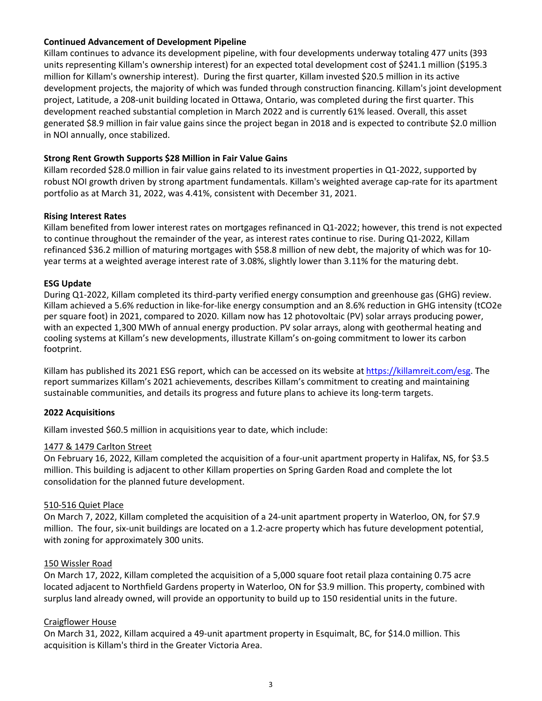### **Continued Advancement of Development Pipeline**

Killam continues to advance its development pipeline, with four developments underway totaling 477 units (393 units representing Killam's ownership interest) for an expected total development cost of \$241.1 million (\$195.3 million for Killam's ownership interest). During the first quarter, Killam invested \$20.5 million in its active development projects, the majority of which was funded through construction financing. Killam's joint development project, Latitude, a 208-unit building located in Ottawa, Ontario, was completed during the first quarter. This development reached substantial completion in March 2022 and is currently 61% leased. Overall, this asset generated \$8.9 million in fair value gains since the project began in 2018 and is expected to contribute \$2.0 million in NOI annually, once stabilized.

### **Strong Rent Growth Supports \$28 Million in Fair Value Gains**

Killam recorded \$28.0 million in fair value gains related to its investment properties in Q1-2022, supported by robust NOI growth driven by strong apartment fundamentals. Killam's weighted average cap-rate for its apartment portfolio as at March 31, 2022, was 4.41%, consistent with December 31, 2021.

### **Rising Interest Rates**

Killam benefited from lower interest rates on mortgages refinanced in Q1-2022; however, this trend is not expected to continue throughout the remainder of the year, as interest rates continue to rise. During Q1-2022, Killam refinanced \$36.2 million of maturing mortgages with \$58.8 million of new debt, the majority of which was for 10year terms at a weighted average interest rate of 3.08%, slightly lower than 3.11% for the maturing debt.

### **ESG Update**

During Q1-2022, Killam completed its third-party verified energy consumption and greenhouse gas (GHG) review. Killam achieved a 5.6% reduction in like-for-like energy consumption and an 8.6% reduction in GHG intensity (tCO2e per square foot) in 2021, compared to 2020. Killam now has 12 photovoltaic (PV) solar arrays producing power, with an expected 1,300 MWh of annual energy production. PV solar arrays, along with geothermal heating and cooling systems at Killam's new developments, illustrate Killam's on-going commitment to lower its carbon footprint. 

Killam has published its 2021 ESG report, which can be accessed on its website at https://killamreit.com/esg. The report summarizes Killam's 2021 achievements, describes Killam's commitment to creating and maintaining sustainable communities, and details its progress and future plans to achieve its long-term targets.

### **2022 Acquisitions**

Killam invested \$60.5 million in acquisitions year to date, which include:

### 1477 & 1479 Carlton Street

On February 16, 2022, Killam completed the acquisition of a four-unit apartment property in Halifax, NS, for \$3.5 million. This building is adjacent to other Killam properties on Spring Garden Road and complete the lot consolidation for the planned future development.

### 510-516 Quiet Place

On March 7, 2022, Killam completed the acquisition of a 24-unit apartment property in Waterloo, ON, for \$7.9 million. The four, six-unit buildings are located on a 1.2-acre property which has future development potential, with zoning for approximately 300 units.

#### 150 Wissler Road

On March 17, 2022, Killam completed the acquisition of a 5,000 square foot retail plaza containing 0.75 acre located adjacent to Northfield Gardens property in Waterloo, ON for \$3.9 million. This property, combined with surplus land already owned, will provide an opportunity to build up to 150 residential units in the future.

### Craigflower House

On March 31, 2022, Killam acquired a 49-unit apartment property in Esquimalt, BC, for \$14.0 million. This acquisition is Killam's third in the Greater Victoria Area.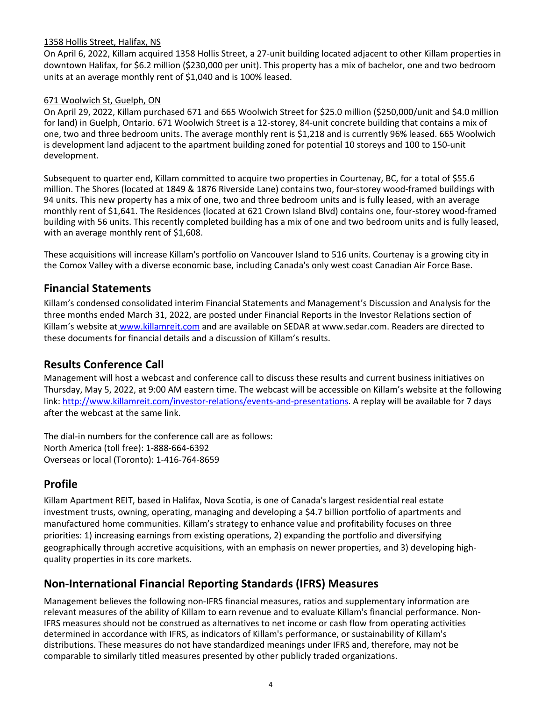### 1358 Hollis Street, Halifax, NS

On April 6, 2022, Killam acquired 1358 Hollis Street, a 27-unit building located adjacent to other Killam properties in downtown Halifax, for \$6.2 million (\$230,000 per unit). This property has a mix of bachelor, one and two bedroom units at an average monthly rent of \$1,040 and is 100% leased.

### 671 Woolwich St, Guelph, ON

On April 29, 2022, Killam purchased 671 and 665 Woolwich Street for \$25.0 million (\$250,000/unit and \$4.0 million for land) in Guelph, Ontario. 671 Woolwich Street is a 12-storey, 84-unit concrete building that contains a mix of one, two and three bedroom units. The average monthly rent is \$1,218 and is currently 96% leased. 665 Woolwich is development land adjacent to the apartment building zoned for potential 10 storeys and 100 to 150-unit development.

Subsequent to quarter end, Killam committed to acquire two properties in Courtenay, BC, for a total of \$55.6 million. The Shores (located at 1849 & 1876 Riverside Lane) contains two, four-storey wood-framed buildings with 94 units. This new property has a mix of one, two and three bedroom units and is fully leased, with an average monthly rent of \$1,641. The Residences (located at 621 Crown Island Blvd) contains one, four-storey wood-framed building with 56 units. This recently completed building has a mix of one and two bedroom units and is fully leased, with an average monthly rent of \$1,608.

These acquisitions will increase Killam's portfolio on Vancouver Island to 516 units. Courtenay is a growing city in the Comox Valley with a diverse economic base, including Canada's only west coast Canadian Air Force Base.

### **Financial Statements**

Killam's condensed consolidated interim Financial Statements and Management's Discussion and Analysis for the three months ended March 31, 2022, are posted under Financial Reports in the Investor Relations section of Killam's website at www.killamreit.com and are available on SEDAR at www.sedar.com. Readers are directed to these documents for financial details and a discussion of Killam's results.

### **Results Conference Call**

Management will host a webcast and conference call to discuss these results and current business initiatives on Thursday, May 5, 2022, at 9:00 AM eastern time. The webcast will be accessible on Killam's website at the following link: [http://www.killamreit.com/investor-relations/events-and-presentations.](http://www.killamreit.com/investor-relations/events-and-presentations) A replay will be available for 7 days after the webcast at the same link.

The dial-in numbers for the conference call are as follows: North America (toll free): 1-888-664-6392 Overseas or local (Toronto): 1-416-764-8659

## **Profile**

Killam Apartment REIT, based in Halifax, Nova Scotia, is one of Canada's largest residential real estate investment trusts, owning, operating, managing and developing a \$4.7 billion portfolio of apartments and manufactured home communities. Killam's strategy to enhance value and profitability focuses on three priorities: 1) increasing earnings from existing operations, 2) expanding the portfolio and diversifying geographically through accretive acquisitions, with an emphasis on newer properties, and 3) developing highquality properties in its core markets.

## **Non-International Financial Reporting Standards (IFRS) Measures**

Management believes the following non-IFRS financial measures, ratios and supplementary information are relevant measures of the ability of Killam to earn revenue and to evaluate Killam's financial performance. Non-IFRS measures should not be construed as alternatives to net income or cash flow from operating activities determined in accordance with IFRS, as indicators of Killam's performance, or sustainability of Killam's distributions. These measures do not have standardized meanings under IFRS and, therefore, may not be comparable to similarly titled measures presented by other publicly traded organizations.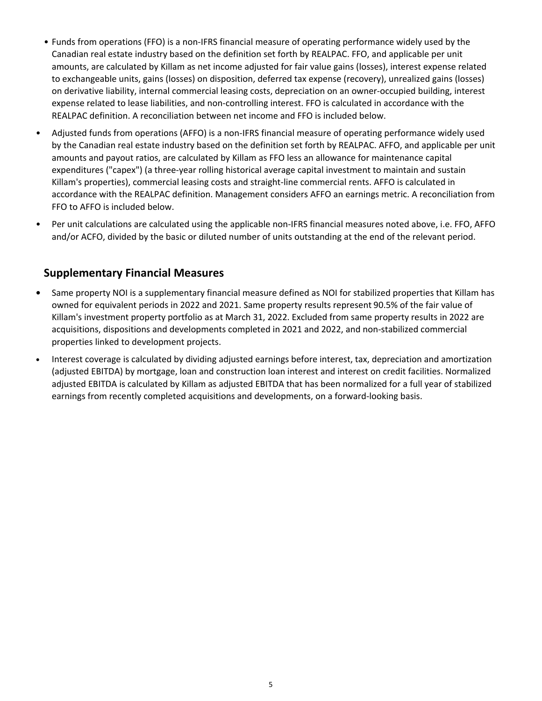- Funds from operations (FFO) is a non-IFRS financial measure of operating performance widely used by the Canadian real estate industry based on the definition set forth by REALPAC. FFO, and applicable per unit amounts, are calculated by Killam as net income adjusted for fair value gains (losses), interest expense related to exchangeable units, gains (losses) on disposition, deferred tax expense (recovery), unrealized gains (losses) on derivative liability, internal commercial leasing costs, depreciation on an owner-occupied building, interest expense related to lease liabilities, and non-controlling interest. FFO is calculated in accordance with the REALPAC definition. A reconciliation between net income and FFO is included below.
- Adjusted funds from operations (AFFO) is a non-IFRS financial measure of operating performance widely used by the Canadian real estate industry based on the definition set forth by REALPAC. AFFO, and applicable per unit amounts and payout ratios, are calculated by Killam as FFO less an allowance for maintenance capital expenditures ("capex") (a three-year rolling historical average capital investment to maintain and sustain Killam's properties), commercial leasing costs and straight-line commercial rents. AFFO is calculated in accordance with the REALPAC definition. Management considers AFFO an earnings metric. A reconciliation from FFO to AFFO is included below.
- Per unit calculations are calculated using the applicable non-IFRS financial measures noted above, i.e. FFO, AFFO and/or ACFO, divided by the basic or diluted number of units outstanding at the end of the relevant period.

# **Supplementary Financial Measures**

- Same property NOI is a supplementary financial measure defined as NOI for stabilized properties that Killam has owned for equivalent periods in 2022 and 2021. Same property results represent 90.5% of the fair value of Killam's investment property portfolio as at March 31, 2022. Excluded from same property results in 2022 are acquisitions, dispositions and developments completed in 2021 and 2022, and non-stabilized commercial properties linked to development projects.
- Interest coverage is calculated by dividing adjusted earnings before interest, tax, depreciation and amortization (adjusted EBITDA) by mortgage, loan and construction loan interest and interest on credit facilities. Normalized adjusted EBITDA is calculated by Killam as adjusted EBITDA that has been normalized for a full year of stabilized earnings from recently completed acquisitions and developments, on a forward-looking basis.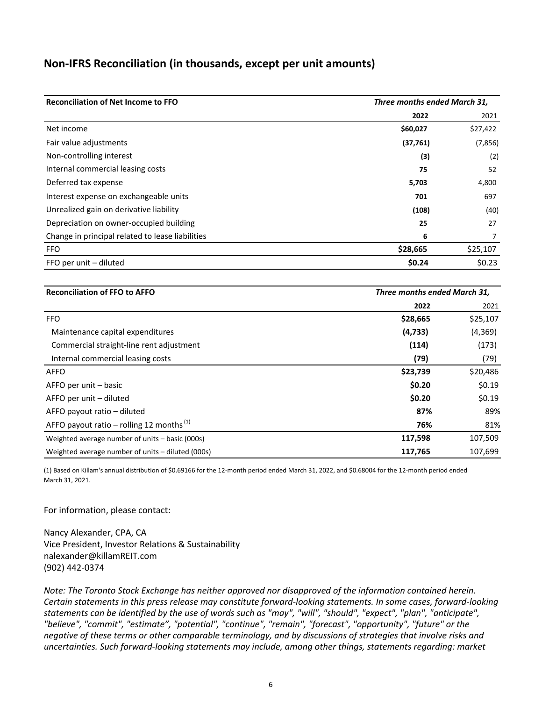### **Non-IFRS Reconciliation (in thousands, except per unit amounts)**

| <b>Reconciliation of Net Income to FFO</b>       | Three months ended March 31, |          |
|--------------------------------------------------|------------------------------|----------|
|                                                  | 2022                         | 2021     |
| Net income                                       | \$60,027                     | \$27,422 |
| Fair value adjustments                           | (37,761)                     | (7,856)  |
| Non-controlling interest                         | (3)                          | (2)      |
| Internal commercial leasing costs                | 75                           | 52       |
| Deferred tax expense                             | 5,703                        | 4,800    |
| Interest expense on exchangeable units           | 701                          | 697      |
| Unrealized gain on derivative liability          | (108)                        | (40)     |
| Depreciation on owner-occupied building          | 25                           | 27       |
| Change in principal related to lease liabilities | 6                            |          |
| <b>FFO</b>                                       | \$28,665                     | \$25,107 |
| FFO per unit - diluted                           | \$0.24                       | \$0.23   |

| <b>Reconciliation of FFO to AFFO</b>                 | Three months ended March 31, |          |
|------------------------------------------------------|------------------------------|----------|
|                                                      | 2022                         | 2021     |
| <b>FFO</b>                                           | \$28,665                     | \$25,107 |
| Maintenance capital expenditures                     | (4, 733)                     | (4,369)  |
| Commercial straight-line rent adjustment             | (114)                        | (173)    |
| Internal commercial leasing costs                    | (79)                         | (79)     |
| <b>AFFO</b>                                          | \$23,739                     | \$20,486 |
| AFFO per unit - basic                                | \$0.20                       | \$0.19   |
| AFFO per unit – diluted                              | \$0.20                       | \$0.19   |
| AFFO payout ratio - diluted                          | 87%                          | 89%      |
| AFFO payout ratio – rolling 12 months <sup>(1)</sup> | 76%                          | 81%      |
| Weighted average number of units - basic (000s)      | 117,598                      | 107,509  |
| Weighted average number of units – diluted (000s)    | 117,765                      | 107,699  |

(1) Based on Killam's annual distribution of \$0.69166 for the 12-month period ended March 31, 2022, and \$0.68004 for the 12-month period ended March 31, 2021.

For information, please contact:

Nancy Alexander, CPA, CA Vice President, Investor Relations & Sustainability nalexander@killamREIT.com (902) 442-0374 

*Note:* The Toronto Stock Exchange has neither approved nor disapproved of the information contained herein. *Certain statements in this press release may constitute forward-looking statements. In some cases, forward-looking* statements can be identified by the use of words such as "may", "will", "should", "expect", "plan", "anticipate", "believe", "commit", "estimate", "potential", "continue", "remain", "forecast", "opportunity", "future" or the negative of these terms or other comparable terminology, and by discussions of strategies that involve risks and *uncertainties. Such forward-looking statements may include, among other things, statements regarding: market*